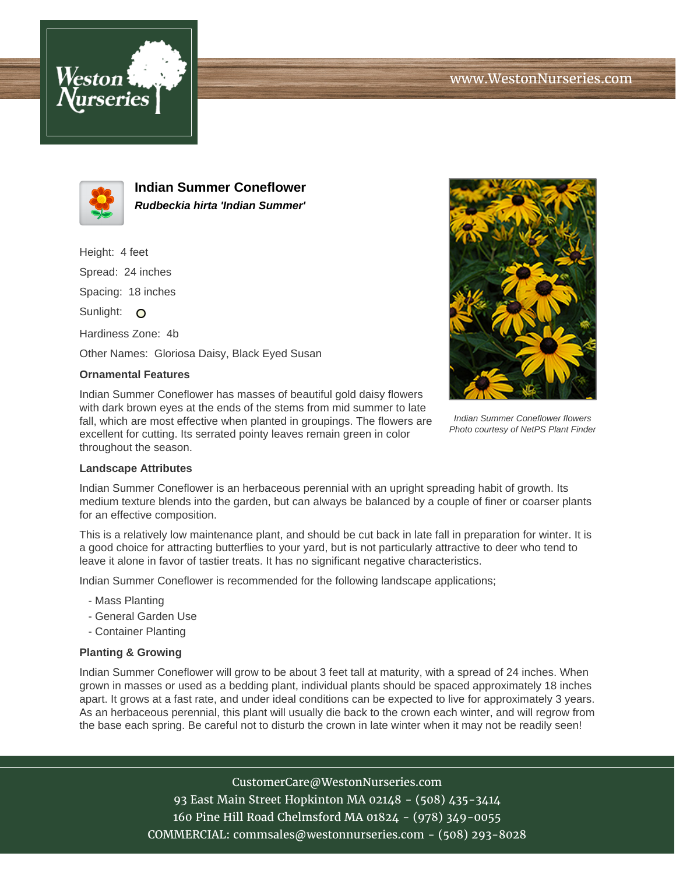



**Indian Summer Coneflower Rudbeckia hirta 'Indian Summer'**

Height: 4 feet Spread: 24 inches Spacing: 18 inches Sunlight: O Hardiness Zone: 4b Other Names: Gloriosa Daisy, Black Eyed Susan

## **Ornamental Features**

Indian Summer Coneflower has masses of beautiful gold daisy flowers with dark brown eyes at the ends of the stems from mid summer to late fall, which are most effective when planted in groupings. The flowers are excellent for cutting. Its serrated pointy leaves remain green in color throughout the season.



Indian Summer Coneflower flowers Photo courtesy of NetPS Plant Finder

## **Landscape Attributes**

Indian Summer Coneflower is an herbaceous perennial with an upright spreading habit of growth. Its medium texture blends into the garden, but can always be balanced by a couple of finer or coarser plants for an effective composition.

This is a relatively low maintenance plant, and should be cut back in late fall in preparation for winter. It is a good choice for attracting butterflies to your yard, but is not particularly attractive to deer who tend to leave it alone in favor of tastier treats. It has no significant negative characteristics.

Indian Summer Coneflower is recommended for the following landscape applications;

- Mass Planting
- General Garden Use
- Container Planting

## **Planting & Growing**

Indian Summer Coneflower will grow to be about 3 feet tall at maturity, with a spread of 24 inches. When grown in masses or used as a bedding plant, individual plants should be spaced approximately 18 inches apart. It grows at a fast rate, and under ideal conditions can be expected to live for approximately 3 years. As an herbaceous perennial, this plant will usually die back to the crown each winter, and will regrow from the base each spring. Be careful not to disturb the crown in late winter when it may not be readily seen!

> CustomerCare@WestonNurseries.com 93 East Main Street Hopkinton MA 02148 - (508) 435-3414 160 Pine Hill Road Chelmsford MA 01824 - (978) 349-0055 COMMERCIAL: commsales@westonnurseries.com - (508) 293-8028